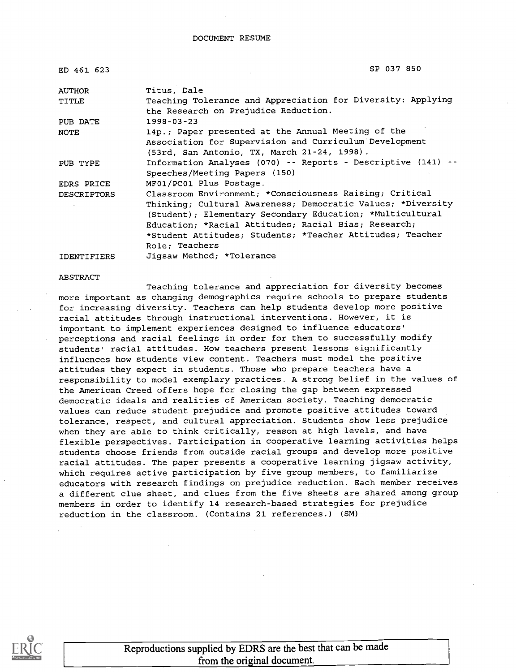| ED 461 623         | SP 037 850                                                   |
|--------------------|--------------------------------------------------------------|
| <b>AUTHOR</b>      | Titus, Dale                                                  |
| TITLE              | Teaching Tolerance and Appreciation for Diversity: Applying  |
|                    | the Research on Prejudice Reduction.                         |
| PUB DATE           | $1998 - 03 - 23$                                             |
| <b>NOTE</b>        | 14p.; Paper presented at the Annual Meeting of the           |
|                    | Association for Supervision and Curriculum Development       |
|                    | (53rd, San Antonio, TX, March 21-24, 1998).                  |
| PUB TYPE           | Information Analyses (070) -- Reports - Descriptive (141) -- |
|                    | Speeches/Meeting Papers (150)                                |
| EDRS PRICE         | MF01/PC01 Plus Postage.                                      |
| <b>DESCRIPTORS</b> | Classroom Environment; *Consciousness Raising; Critical      |
|                    | Thinking; Cultural Awareness; Democratic Values; *Diversity  |
|                    | (Student); Elementary Secondary Education; *Multicultural    |
|                    | Education; *Racial Attitudes; Racial Bias; Research;         |
|                    | *Student Attitudes; Students; *Teacher Attitudes; Teacher    |
|                    | Role; Teachers                                               |
|                    |                                                              |

#### IDENTIFIERS Jigsaw Method; \*Tolerance

#### ABSTRACT

Teaching tolerance and appreciation for diversity becomes more important as changing demographics require schools to prepare students for increasing diversity. Teachers can help students develop more positive racial attitudes through instructional interventions. However, it is important to implement experiences designed to influence educators' perceptions and racial feelings in order for them to successfully modify students' racial attitudes. How teachers present lessons significantly influences how students view content. Teachers must model the positive attitudes they expect in students. Those who prepare teachers have a responsibility to model exemplary practices. A strong belief in the values of the American Creed offers hope for closing the gap between expressed democratic ideals and realities of American society. Teaching democratic values can reduce student prejudice and promote positive attitudes toward tolerance, respect, and cultural appreciation. Students show less prejudice when they are able to think critically, reason at high levels, and have flexible perspectives. Participation in cooperative learning activities helps students choose friends from outside racial groups and develop more positive racial attitudes. The paper presents a cooperative learning jigsaw activity, which requires active participation by five group members, to familiarize educators with research findings on prejudice reduction. Each member receives a different clue sheet, and clues from the five sheets are shared among group members in order to identify 14 research-based strategies for prejudice reduction in the classroom. (Contains 21 references.) (SM)



Reproductions supplied by EDRS are the best that can be made from the original document.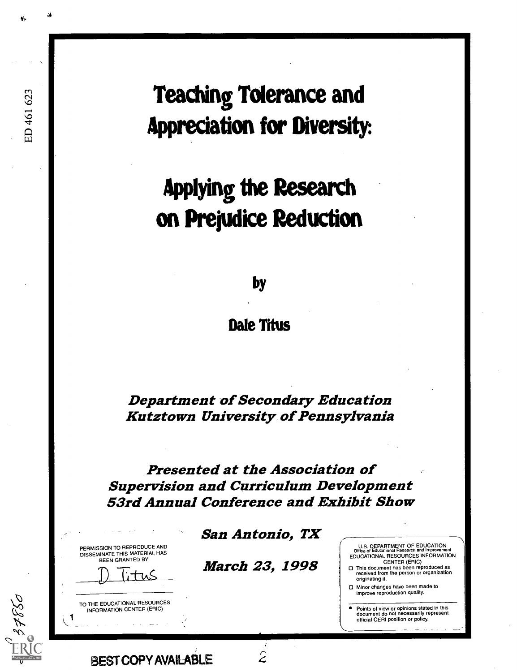Teaching Tolerance and Appreciation for Diversity:

# Applying the Research on Prejudice Reduction

by

Dale Titus

Department of Secondary Education Kutztown University. of Pennsylvania

Presented at the Association of Supervision and Curriculum Development 53rd Annual Conference and Exhibit Show

PERMISSION TO REPRODUCE AND DISSEMINATE THIS MATERIAL HAS BEEN GRANTED BY

ED 461 623



TO THE EDUCATIONAL RESOURCES INFORMATION CENTER (ERIC)

BEST COPY AVAILABLE

San Antonio, TX

March 23, 1998

 $\hat{z}$ 

U.S. DEPARTMENT OF EDUCATION Office of Educational Research and Irnprovement EDUCATIONAL RESOURCES INFORMATION

CENTER (ERIC) CI This document has been reproduced as received from the person or organization originating it.

O Minor changes have been made to improve reproduction quality.

Points of view or opinions stated in this document do not necessarily represent official OERI position or policy.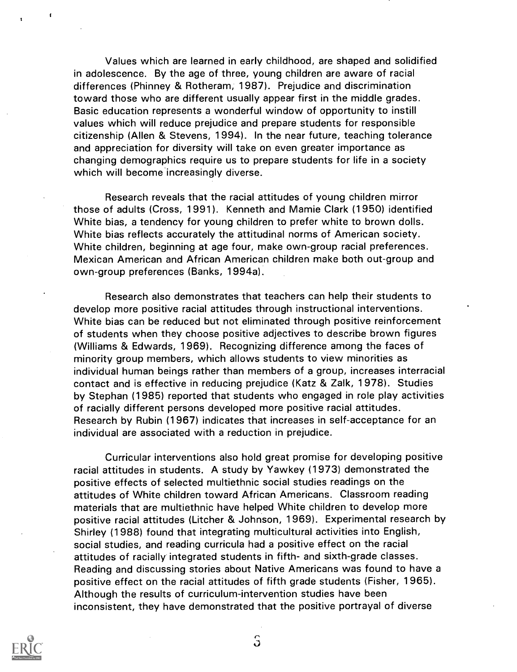Values which are learned in early childhood, are shaped and solidified in adolescence. By the age of three, young children are aware of racial differences (Phinney & Rotheram, 1987). Prejudice and discrimination toward those who are different usually appear first in the middle grades. Basic education represents a wonderful window of opportunity to instill values which will reduce prejudice and prepare students for responsible citizenship (Allen & Stevens, 1994). In the near future, teaching tolerance and appreciation for diversity will take on even greater importance as changing demographics require us to prepare students for life in a society which will become increasingly diverse.

Research reveals that the racial attitudes of young children mirror those of adults (Cross, 1991). Kenneth and Mamie Clark (1950) identified White bias, a tendency for young children to prefer white to brown dolls. White bias reflects accurately the attitudinal norms of American society. White children, beginning at age four, make own-group racial preferences. Mexican American and African American children make both out-group and own-group preferences (Banks, 1994a).

Research also demonstrates that teachers can help their students to develop more positive racial attitudes through instructional interventions. White bias can be reduced but not eliminated through positive reinforcement of students when they choose positive adjectives to describe brown figures (Williams & Edwards, 1969). Recognizing difference among the faces of minority group members, which allows students to view minorities as individual human beings rather than members of a group, increases interracial contact and is effective in reducing prejudice (Katz & Zalk, 1978). Studies by Stephan (1985) reported that students who engaged in role play activities of racially different persons developed more positive racial attitudes. Research by Rubin (1967) indicates that increases in self-acceptance for an individual are associated with a reduction in prejudice.

Curricular interventions also hold great promise for developing positive racial attitudes in students. A study by Yawkey (1973) demonstrated the positive effects of selected multiethnic social studies readings on the attitudes of White children toward African Americans. Classroom reading materials that are multiethnic have helped White children to develop more positive racial attitudes (Litcher & Johnson, 1969). Experimental research by Shirley (1988) found that integrating multicultural activities into English, social studies, and reading curricula had a positive effect on the racial attitudes of racially integrated students in fifth- and sixth-grade classes. Reading and discussing stories about Native Americans was found to have a positive effect on the racial attitudes of fifth grade students (Fisher, 1965). Although the results of curriculum-intervention studies have been inconsistent, they have demonstrated that the positive portrayal of diverse



 $\hat{J}$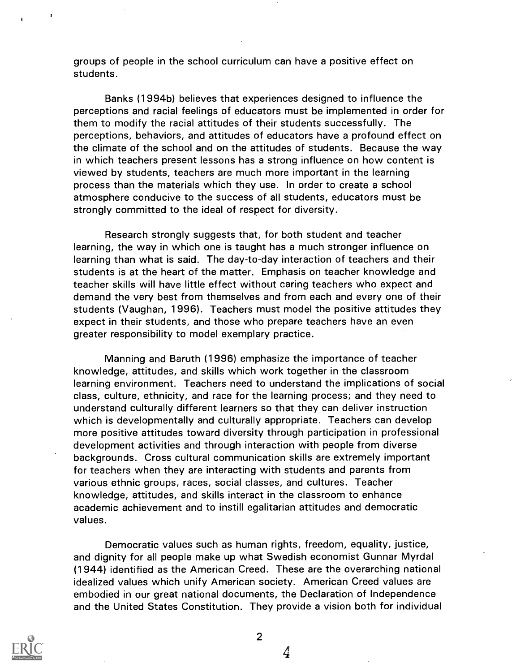groups of people in the school curriculum can have a positive effect on students.

Banks (1994b) believes that experiences designed to influence the perceptions and racial feelings of educators must be implemented in order for them to modify the racial attitudes of their students successfully. The perceptions, behaviors, and attitudes of educators have a profound effect on the climate of the school and on the attitudes of students. Because the way in which teachers present lessons has a strong influence on how content is viewed by students, teachers are much more important in the learning process than the materials which they use. In order to create a school atmosphere conducive to the success of all students, educators must be strongly committed to the ideal of respect for diversity.

Research strongly suggests that, for both student and teacher learning, the way in which one is taught has a much stronger influence on learning than what is said. The day-to-day interaction of teachers and their students is at the heart of the matter. Emphasis on teacher knowledge and teacher skills will have little effect without caring teachers who expect and demand the very best from themselves and from each and every one of their students (Vaughan, 1996). Teachers must model the positive attitudes they expect in their students, and those who prepare teachers have an even greater responsibility to model exemplary practice.

Manning and Baruth (1996) emphasize the importance of teacher knowledge, attitudes, and skills which work together in the classroom learning environment. Teachers need to understand the implications of social class, culture, ethnicity, and race for the learning process; and they need to understand culturally different learners so that they can deliver instruction which is developmentally and culturally appropriate. Teachers can develop more positive attitudes toward diversity through participation in professional development activities and through interaction with people from diverse backgrounds. Cross cultural communication skills are extremely important for teachers when they are interacting with students and parents from various ethnic groups, races, social classes, and cultures. Teacher knowledge, attitudes, and skills interact in the classroom to enhance academic achievement and to instill egalitarian attitudes and democratic values.

Democratic values such as human rights, freedom, equality, justice, and dignity for all people make up what Swedish economist Gunnar Myrdal (1944) identified as the American Creed. These are the overarching national idealized values which unify American society. American Creed values are embodied in our great national documents, the Declaration of Independence and the United States Constitution. They provide a vision both for individual



2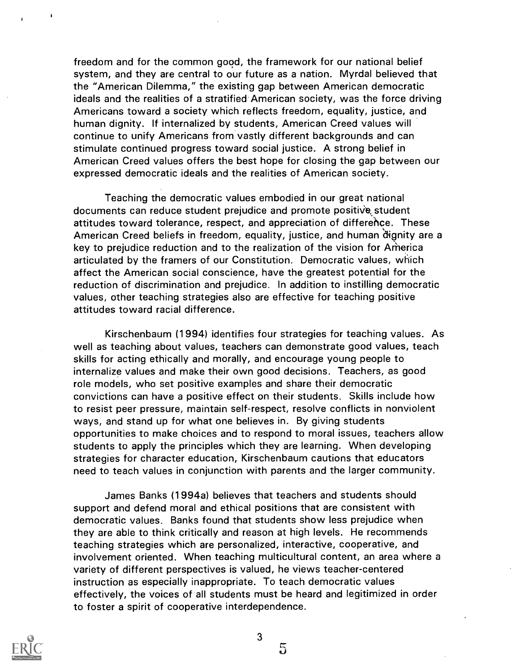freedom and for the common good, the framework for our national belief system, and they are central to our future as a nation. Myrdal believed that the "American Dilemma," the existing gap between American democratic ideals and the realities of a stratified American society, was the force driving Americans toward a society which reflects freedom, equality, justice, and human dignity. If internalized by students, American Creed values will continue to unify Americans from vastly different backgrounds and can stimulate continued progress toward social justice. A strong belief in American Creed values offers the best hope for closing the gap between our expressed democratic ideals and the realities of American society.

Teaching the democratic values embodied in our great national documents can reduce student prejudice and promote positive student attitudes toward tolerance, respect, and appreciation of difference. These American Creed beliefs in freedom, equality, justice, and human 'dignity are a key to prejudice reduction and to the realization of the vision for America articulated by the framers of our Constitution. Democratic values, which affect the American social conscience, have the greatest potential for the reduction of discrimination and prejudice. In addition to instilling democratic values, other teaching strategies also are effective for teaching positive attitudes toward racial difference.

Kirschenbaum (1994) identifies four strategies for teaching values. As well as teaching about values, teachers can demonstrate good values, teach skills for acting ethically and morally, and encourage young people to internalize values and make their own good decisions. Teachers, as good role models, who set positive examples and share their democratic convictions can have a positive effect on their students. Skills include how to resist peer pressure, maintain self-respect, resolve conflicts in nonviolent ways, and stand up for what one believes in. By giving students opportunities to make choices and to respond to moral issues, teachers allow students to apply the principles which they are learning. When developing strategies for character education, Kirschenbaum cautions that educators need to teach values in conjunction with parents and the larger community.

James Banks (1994a) believes that teachers and students should support and defend moral and ethical positions that are consistent with democratic values. Banks found that students show less prejudice when they are able to think critically and reason at high levels. He recommends teaching strategies which are personalized, interactive, cooperative, and involvement oriented. When teaching multicultural content, an area where a variety of different perspectives is valued, he views teacher-centered instruction as especially inappropriate. To teach democratic values effectively, the voices of all students must be heard and legitimized in order to foster a spirit of cooperative interdependence.

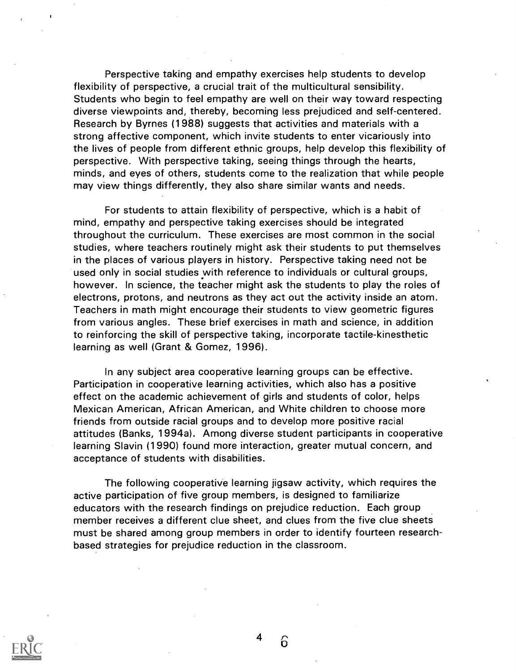Perspective taking and empathy exercises help students to develop flexibility of perspective, a crucial trait of the multicultural sensibility. Students who begin to feel empathy are well on their way toward respecting diverse viewpoints and, thereby, becoming less prejudiced and self-centered. Research by Byrnes (1988) suggests that activities and materials with a strong affective component, which invite students to enter vicariously into the lives of people from different ethnic groups, help develop this flexibility of perspective. With perspective taking, seeing things through the hearts, minds, and eyes of others, students come to the realization that while people may view things differently, they also share similar wants and needs.

For students to attain flexibility of perspective, which is a habit of mind, empathy and perspective taking exercises should be integrated throughout the curriculum. These exercises are most common in the social studies, where teachers routinely might ask their students to put themselves in the places of various players in history. Perspective taking need not be used only in social studies with reference to individuals or cultural groups, however. In science, the teacher might ask the students to play the roles of electrons, protons, and neutrons as they act out the activity inside an atom. Teachers in math might encourage their students to view geometric figures from various angles. These brief exercises in math and science, in addition to reinforcing the skill of perspective taking, incorporate tactile-kinesthetic learning as well (Grant & Gomez, 1996).

In any subject area cooperative learning groups can be effective. Participation in cooperative learning activities, which also has a positive effect on the academic achievement of girls and students of color, helps Mexican American, African American, and White children to choose more friends from outside racial groups and to develop more positive racial attitudes (Banks, 1994a). Among diverse student participants in cooperative learning Slavin (1990) found more interaction, greater mutual concern, and acceptance of students with disabilities.

The following cooperative learning jigsaw activity, which requires the active participation of five group members, is designed to familiarize educators with the research findings on prejudice reduction. Each group member receives a different clue sheet, and clues from the five clue sheets must be shared among group members in order to identify fourteen researchbased strategies for prejudice reduction in the classroom.



4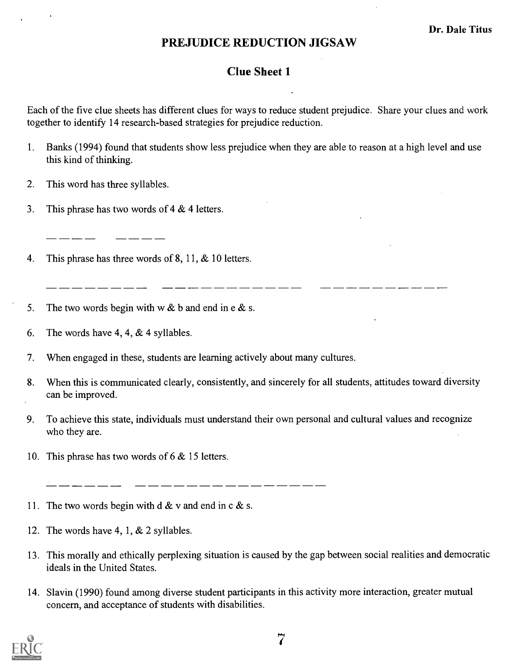#### Clue Sheet 1

Each of the five clue sheets has different clues for ways to reduce student prejudice. Share your clues and work together to identify 14 research-based strategies for prejudice reduction.

- 1. Banks (1994) found that students show less prejudice when they are able to reason at a high level and use this kind of thinking.
- 2. This word has three syllables.
- 3. This phrase has two words of 4 & 4 letters.
- 4. This phrase has three words of 8, 11, & 10 letters.
- 5. The two words begin with w  $&$  b and end in e  $&$  s.
- 6. The words have 4, 4,  $&$  4 syllables.
- 7. When engaged in these, students are learning actively about many cultures.
- 8. When this is communicated clearly, consistently, and sincerely for all students, attitudes toward diversity can be improved.
- 9. To achieve this state, individuals must understand their own personal and cultural values and recognize who they are.
- 10. This phrase has two words of 6 & 15 letters.

- 11. The two words begin with  $d \& v$  and end in c  $&$  s.
- 12. The words have 4, 1, & 2 syllables.
- 13. This morally and ethically perplexing situation is caused by the gap between social realities and democratic ideals in the United States.
- 14. Slavin (1990) found among diverse student participants in this activity more interaction, greater mutual concern, and acceptance of students with disabilities.

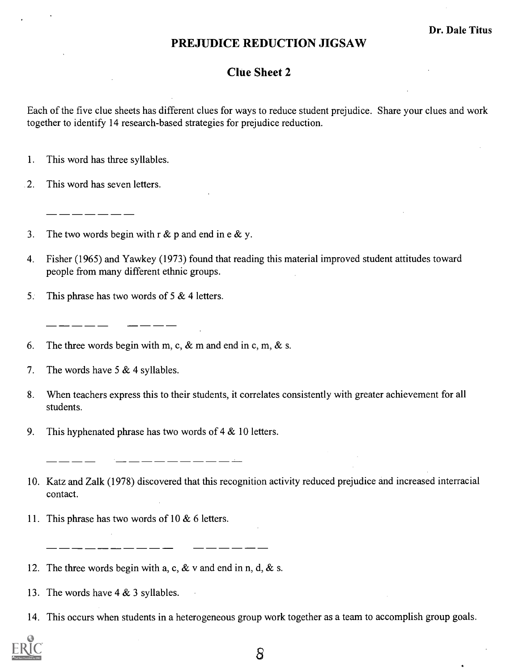#### Clue Sheet 2

Each of the five clue sheets has different clues for ways to reduce student prejudice. Share your clues and work together to identify 14 research-based strategies for prejudice reduction.

- 1. This word has three syllables.
- 2. This word has seven letters.

- 3. The two words begin with  $r \& p$  and end in e  $\& p$ .
- 4. Fisher (1965) and Yawkey (1973) found that reading this material improved student attitudes toward people from many different ethnic groups.
- 5. This phrase has two words of 5 & 4 letters.

6. The three words begin with m, c,  $\&$  m and end in c, m,  $\&$  s.

- 7. The words have  $5 & 4$  syllables.
- 8. When teachers express this to their students, it correlates consistently with greater achievement for all students.
- 9. This hyphenated phrase has two words of  $4 \& 10$  letters.

\_ \_\_ \_\_ \_\_ \_\_ \_\_ \_\_ \_\_ \_\_ \_\_

- 10. Katz and Zalk (1978) discovered that this recognition activity reduced prejudice and increased interracial contact.
- 11. This phrase has two words of 10  $&$  6 letters.
- 12. The three words begin with a, c,  $\&$  v and end in n, d,  $\&$  s.
- 13. The words have 4 & 3 syllables.
- 14. This occurs when students in a heterogeneous group work together as a team to accomplish group goals.

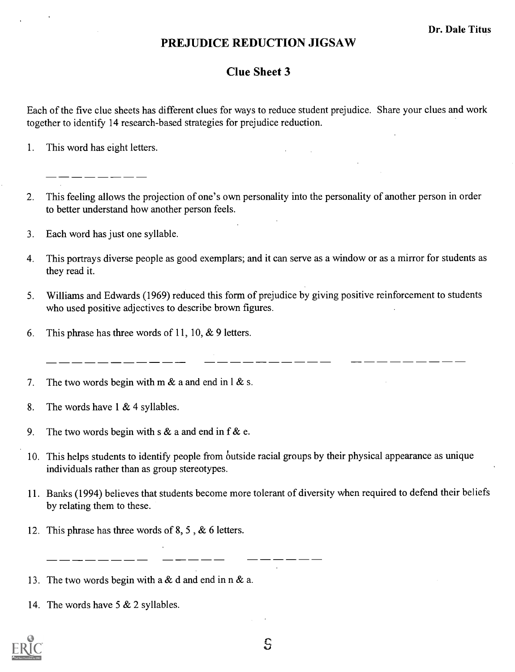#### Clue Sheet 3

Each of the five clue sheets has different clues for ways to reduce student prejudice. Share your clues and work together to identify 14 research-based strategies for prejudice reduction.

- 1. This word has eight letters.
- 2. This feeling allows the projection of one's own personality into the personality of another person in order to better understand how another person feels.
- 3. Each word has just one syllable.
- 4. This portrays diverse people as good exemplars; and it can serve as a window or as a mirror for students as they read it.
- 5. Williams and Edwards (1969) reduced this form of prejudice by giving positive reinforcement to students who used positive adjectives to describe brown figures.

\_\_\_\_\_\_\_\_

6. This phrase has three words of 11, 10,  $\&$  9 letters.

7. The two words begin with m  $\&$  a and end in 1  $\&$  s.

- 8. The words have 1 & 4 syllables.
- 9. The two words begin with s  $\&$  a and end in f  $\&$  e.
- 10. This helps students to identify people from outside racial groups by their physical appearance as unique individuals rather than as group stereotypes.
- 11. Banks (1994) believes that students become more tolerant of diversity when required to defend their beliefs by relating them to these.
- 12. This phrase has three words of 8, 5 , & 6 letters.
- 13. The two words begin with a & d and end in n & a.
- 14. The words have 5 & 2 syllables.

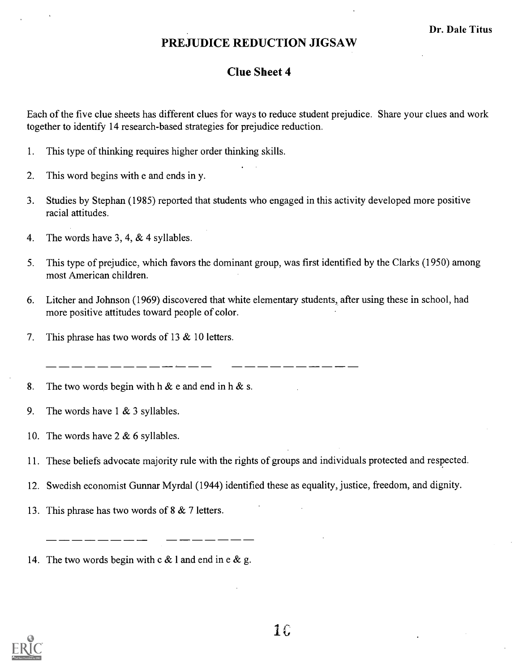#### Clue Sheet 4

Each of the five clue sheets has different clues for ways to reduce student prejudice. Share your clues and work together to identify 14 research-based strategies for prejudice reduction.

- 1. This type of thinking requires higher order thinking skills.
- 2. This word begins with e and ends in y.
- 3. Studies by Stephan (1985) reported that students who engaged in this activity developed more positive racial attitudes.
- 4. The words have 3, 4, & 4 syllables.
- 5. This type of prejudice, which favors the dominant group, was first identified by the Clarks (1950) among most American children.
- 6. Litcher and Johnson (1969) discovered that white elementary students, after using these in school, had more positive attitudes toward people of color.
- 7. This phrase has two words of 13 & 10 letters.

8. The two words begin with h  $\&$  e and end in h  $\&$  s.

- 9. The words have 1 & 3 syllables.
- 10. The words have 2 & 6 syllables.
- 11. These beliefs advocate majority rule with the rights of groups and individuals protected and respected.
- 12. Swedish economist Gunnar Myrdal (1944) identified these as equality, justice, freedom, and dignity.
- 13. This phrase has two words of 8 & 7 letters.

14. The two words begin with  $c \& 1$  and end in e  $\&$  g.

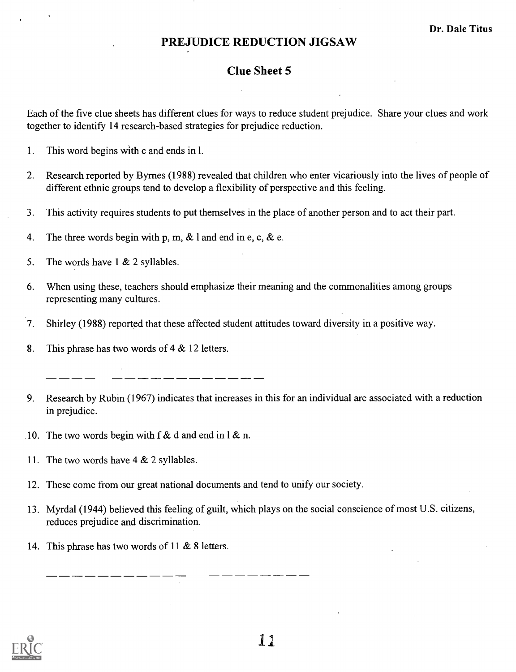### Clue Sheet 5

Each of the five clue sheets has different clues for ways to reduce student prejudice. Share your clues and work together to identify 14 research-based strategies for prejudice reduction.

- 1. This word begins with c and ends in 1.
- 2. Research reported by Byrnes (1988) revealed that children who enter vicariously into the lives of people of different ethnic groups tend to develop a flexibility of perspective and this feeling.
- 3. This activity requires students to put themselves in the place of another person and to act their part.
- 4. The three words begin with p, m,  $\&$  l and end in e, c,  $\&$  e.
- 5. The words have  $1 \& 2$  syllables.
- 6. When using these, teachers should emphasize their meaning and the commonalities among groups representing many cultures.
- $7.$ Shirley (1988) reported that these affected student attitudes toward diversity in a positive way.
- 8. This phrase has two words of 4 & 12 letters.

- 9. Research by Rubin (1967) indicates that increases in this for an individual are associated with a reduction in prejudice.
- 10. The two words begin with f & d and end in  $\ell \& n$ .
- 11. The two words have 4 & 2 syllables.
- 12. These come from our great national documents and tend to unify our society.
- 13. Myrdal (1944) believed this feeling of guilt, which plays on the social conscience of most U.S. citizens, reduces prejudice and discrimination.
- 14. This phrase has two words of 11 & 8 letters.

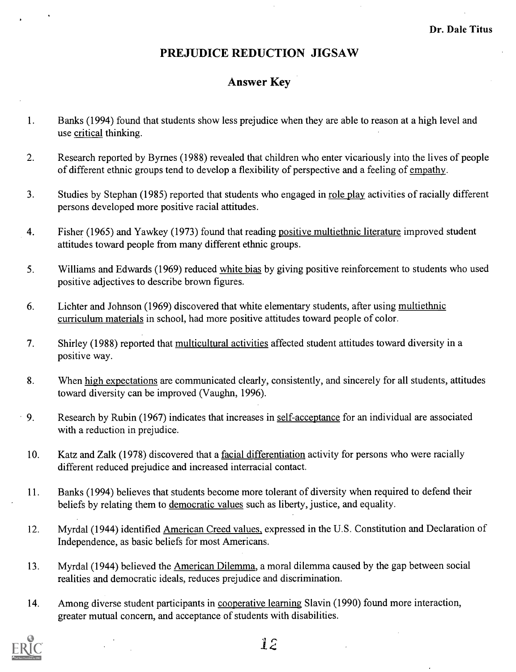#### Answer Key

- 1. Banks (1994) found that students show less prejudice when they are able to reason at a high level and use critical thinking.
- 2. Research reported by Byrnes (1988) revealed that children who enter vicariously into the lives of people of different ethnic groups tend to develop a flexibility of perspective and a feeling of empathy.
- 3. Studies by Stephan (1985) reported that students who engaged in role play activities of racially different persons developed more positive racial attitudes.
- 4. Fisher (1965) and Yawkey (1973) found that reading positive multiethnic literature improved student attitudes toward people from many different ethnic groups.
- 5. Williams and Edwards (1969) reduced white bias by giving positive reinforcement to students who used positive adjectives to describe brown figures.
- 6. Lichter and Johnson (1969) discovered that white elementary students, after using multiethnic curriculum materials in school, had more positive attitudes toward people of color.
- 7. Shirley (1988) reported that multicultural activities affected student attitudes toward diversity in a positive way.
- 8. When high expectations are communicated clearly, consistently, and sincerely for all students, attitudes toward diversity can be improved (Vaughn, 1996).
- 9. Research by Rubin (1967) indicates that increases in self-acceptance for an individual are associated with a reduction in prejudice.
	- 10. Katz and Zalk (1978) discovered that a facial differentiation activity for persons who were racially different reduced prejudice and increased interracial contact.
	- 11. Banks (1994) believes that students become more tolerant of diversity when required to defend their beliefs by relating them to democratic values such as liberty, justice, and equality.
	- 12. Myrdal (1944) identified American Creed values, expressed in the U.S. Constitution and Declaration of Independence, as basic beliefs for most Americans.
	- 13. Myrdal (1944) believed the American Dilemma, a moral dilemma caused by the gap between social realities and democratic ideals, reduces prejudice and discrimination.
	- 14. Among diverse student participants in cooperative learning Slavin (1990) found more interaction, greater mutual concern, and acceptance of students with disabilities.

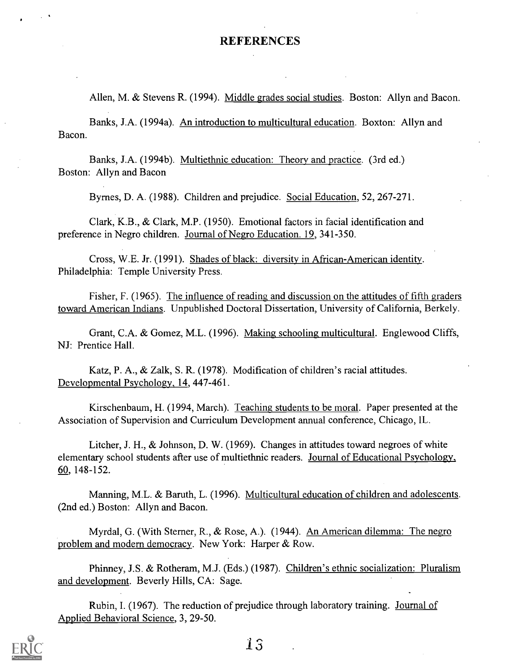#### REFERENCES

Allen, M. & Stevens R. (1994). Middle grades social studies. Boston: Allyn and Bacon.

Banks, J.A. (1994a). An introduction to multicultural education. Boxton: Allyn and Bacon.

Banks, J.A. (1994b). Multiethnic education: Theory and practice. (3rd ed.) Boston: Allyn and Bacon

Byrnes, D. A. (1988). Children and prejudice. Social Education, 52, 267-271.

Clark, K.B., & Clark, M.P. (1950). Emotional factors in facial identification and preference in Negro children. Journal of Negro Education. 19, 341-350.

Cross, W.E. Jr. (1991). Shades of black: diversity in African-American identity. Philadelphia: Temple University Press.

Fisher, F. (1965). The influence of reading and discussion on the attitudes of fifth graders toward American Indians. Unpublished Doctoral Dissertation, University of California, Berkely.

Grant, C.A. & Gomez, M.L. (1996). Making schooling multicultural. Englewood Cliffs, NJ: Prentice Hall.

Katz, P. A., & Zalk, S. R. (1978). Modification of children's racial attitudes. Developmental Psychology, 14, 447-461.

Kirschenbaum, H. (1994, March). Teaching students to be moral. Paper presented at the Association of Supervision and Curriculum Development annual conference, Chicago, IL.

Litcher, J. H., & Johnson, D. W. (1969). Changes in attitudes toward negroes of white elementary school students after use of multiethnic readers. Journal of Educational Psychology, 60, 148-152.

Manning, M.L. & Baruth, L. (1996). Multicultural education of children and adolescents. (2nd ed.) Boston: Allyn and Bacon.

Myrdal, G. (With Sterner, R., & Rose, A.). (1944). An American dilemma: The negro problem and modern democracy. New York: Harper & Row.

Phinney, J.S. & Rotheram, M.J. (Eds.) (1987). Children's ethnic socialization: Pluralism and development. Beverly Hills, CA: Sage.

Rubin, I. (1967). The reduction of prejudice through laboratory training. Journal of Applied Behavioral Science, 3, 29-50.

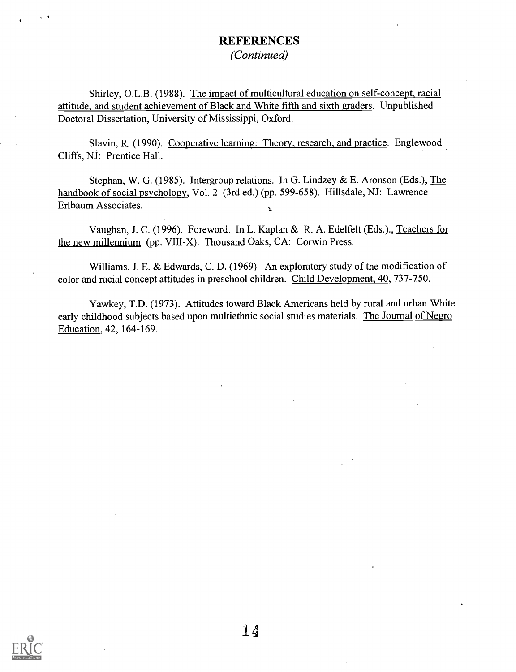#### **REFERENCES** (Continued)

Shirley, O.L.B. (1988). The impact of multicultural education on self-concept, racial attitude, and student achievement of Black and White fifth and sixth graders. Unpublished Doctoral Dissertation, University of Mississippi, Oxford.

Slavin, R. (1990). Cooperative learning: Theory, research, and practice. Englewood Cliffs, NJ: Prentice Hall.

Stephan, W. G. (1985). Intergroup relations. In G. Lindzey & E. Aronson (Eds.), The handbook of social psychology, Vol. 2 (3rd ed.) (pp. 599-658). Hillsdale, NJ: Lawrence Erlbaum Associates.

Vaughan, J. C. (1996). Foreword. In L. Kaplan & R. A. Edelfelt (Eds.)., Teachers for the new millennium (pp. VIII-X). Thousand Oaks, CA: Corwin Press.

Williams, J. E. & Edwards, C. D. (1969). An exploratory study of the modification of color and racial concept attitudes in preschool children. Child Development, 40, 737-750.

Yawkey, T.D. (1973). Attitudes toward Black Americans held by rural and urban White early childhood subjects based upon multiethnic social studies materials. The Journal of Negro Education, 42, 164-169.